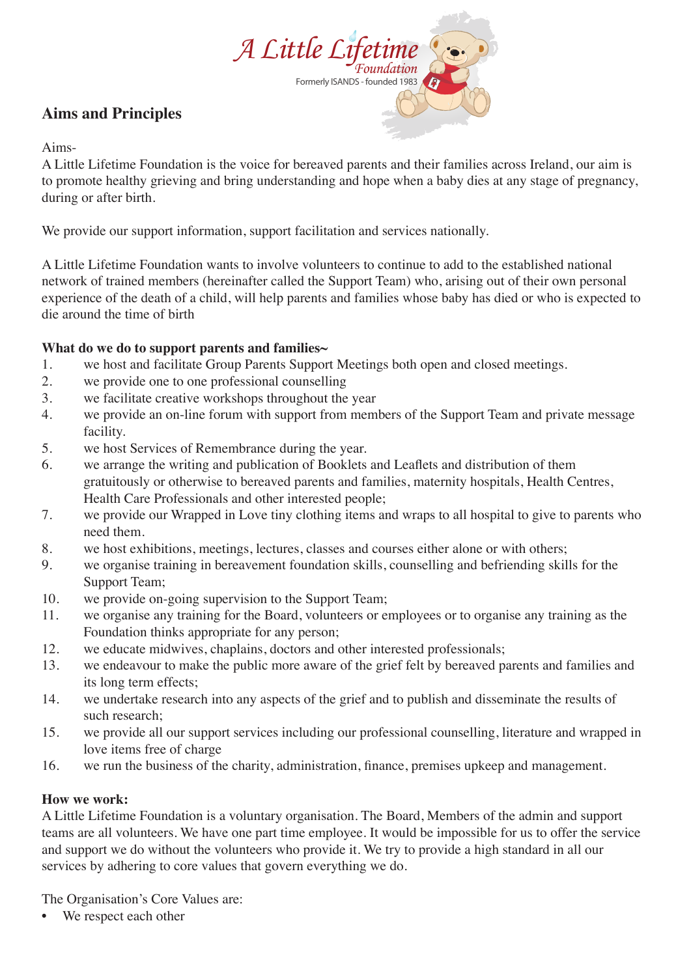

# **Aims and Principles**

### Aims-

A Little Lifetime Foundation is the voice for bereaved parents and their families across Ireland, our aim is to promote healthy grieving and bring understanding and hope when a baby dies at any stage of pregnancy, during or after birth.

We provide our support information, support facilitation and services nationally.

A Little Lifetime Foundation wants to involve volunteers to continue to add to the established national network of trained members (hereinafter called the Support Team) who, arising out of their own personal experience of the death of a child, will help parents and families whose baby has died or who is expected to die around the time of birth

# **What do we do to support parents and families~**

- 1. we host and facilitate Group Parents Support Meetings both open and closed meetings.
- 2. we provide one to one professional counselling
- 3. we facilitate creative workshops throughout the year
- 4. we provide an on-line forum with support from members of the Support Team and private message facility.
- 5. we host Services of Remembrance during the year.
- 6. we arrange the writing and publication of Booklets and Leaflets and distribution of them gratuitously or otherwise to bereaved parents and families, maternity hospitals, Health Centres, Health Care Professionals and other interested people;
- 7. we provide our Wrapped in Love tiny clothing items and wraps to all hospital to give to parents who need them.
- 8. we host exhibitions, meetings, lectures, classes and courses either alone or with others;
- 9. we organise training in bereavement foundation skills, counselling and befriending skills for the Support Team;
- 10. we provide on-going supervision to the Support Team;
- 11. we organise any training for the Board, volunteers or employees or to organise any training as the Foundation thinks appropriate for any person;
- 12. we educate midwives, chaplains, doctors and other interested professionals;
- 13. we endeavour to make the public more aware of the grief felt by bereaved parents and families and its long term effects;
- 14. we undertake research into any aspects of the grief and to publish and disseminate the results of such research;
- 15. we provide all our support services including our professional counselling, literature and wrapped in love items free of charge
- 16. we run the business of the charity, administration, finance, premises upkeep and management.

#### **How we work:**

A Little Lifetime Foundation is a voluntary organisation. The Board, Members of the admin and support teams are all volunteers. We have one part time employee. It would be impossible for us to offer the service and support we do without the volunteers who provide it. We try to provide a high standard in all our services by adhering to core values that govern everything we do.

The Organisation's Core Values are:

We respect each other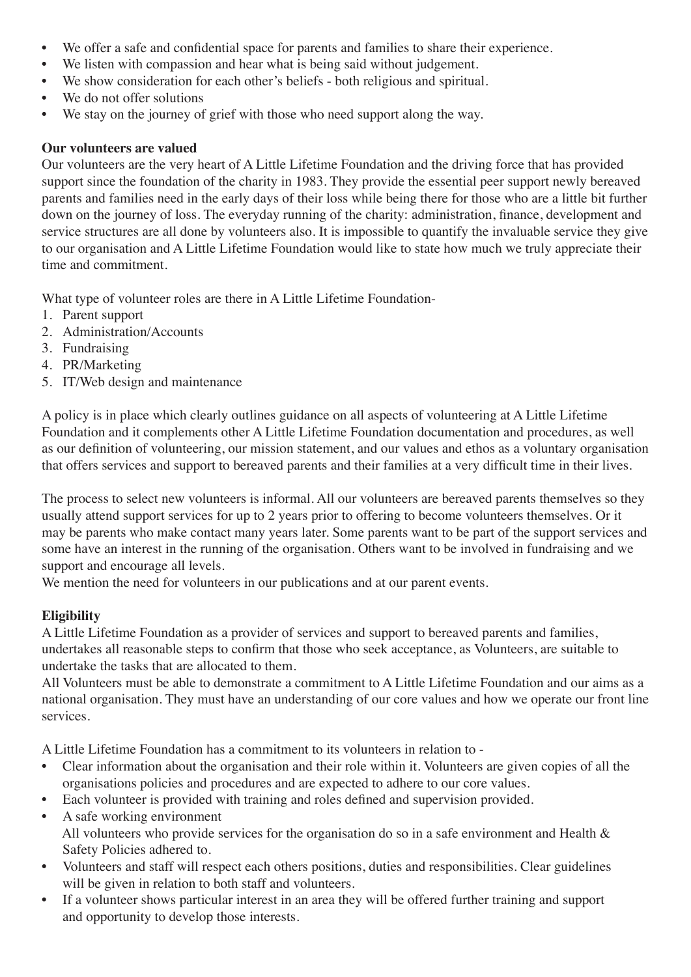- We offer a safe and confidential space for parents and families to share their experience.
- We listen with compassion and hear what is being said without judgement.
- We show consideration for each other's beliefs both religious and spiritual.
- We do not offer solutions
- We stay on the journey of grief with those who need support along the way.

#### **Our volunteers are valued**

Our volunteers are the very heart of A Little Lifetime Foundation and the driving force that has provided support since the foundation of the charity in 1983. They provide the essential peer support newly bereaved parents and families need in the early days of their loss while being there for those who are a little bit further down on the journey of loss. The everyday running of the charity: administration, finance, development and service structures are all done by volunteers also. It is impossible to quantify the invaluable service they give to our organisation and A Little Lifetime Foundation would like to state how much we truly appreciate their time and commitment.

What type of volunteer roles are there in A Little Lifetime Foundation-

- 1. Parent support
- 2. Administration/Accounts
- 3. Fundraising
- 4. PR/Marketing
- 5. IT/Web design and maintenance

A policy is in place which clearly outlines guidance on all aspects of volunteering at A Little Lifetime Foundation and it complements other A Little Lifetime Foundation documentation and procedures, as well as our definition of volunteering, our mission statement, and our values and ethos as a voluntary organisation that offers services and support to bereaved parents and their families at a very difficult time in their lives.

The process to select new volunteers is informal. All our volunteers are bereaved parents themselves so they usually attend support services for up to 2 years prior to offering to become volunteers themselves. Or it may be parents who make contact many years later. Some parents want to be part of the support services and some have an interest in the running of the organisation. Others want to be involved in fundraising and we support and encourage all levels.

We mention the need for volunteers in our publications and at our parent events.

#### **Eligibility**

A Little Lifetime Foundation as a provider of services and support to bereaved parents and families, undertakes all reasonable steps to confirm that those who seek acceptance, as Volunteers, are suitable to undertake the tasks that are allocated to them.

All Volunteers must be able to demonstrate a commitment to A Little Lifetime Foundation and our aims as a national organisation. They must have an understanding of our core values and how we operate our front line services.

A Little Lifetime Foundation has a commitment to its volunteers in relation to -

- Clear information about the organisation and their role within it. Volunteers are given copies of all the organisations policies and procedures and are expected to adhere to our core values.
- Each volunteer is provided with training and roles defined and supervision provided.
- A safe working environment All volunteers who provide services for the organisation do so in a safe environment and Health & Safety Policies adhered to.
- Volunteers and staff will respect each others positions, duties and responsibilities. Clear guidelines will be given in relation to both staff and volunteers.
- If a volunteer shows particular interest in an area they will be offered further training and support and opportunity to develop those interests.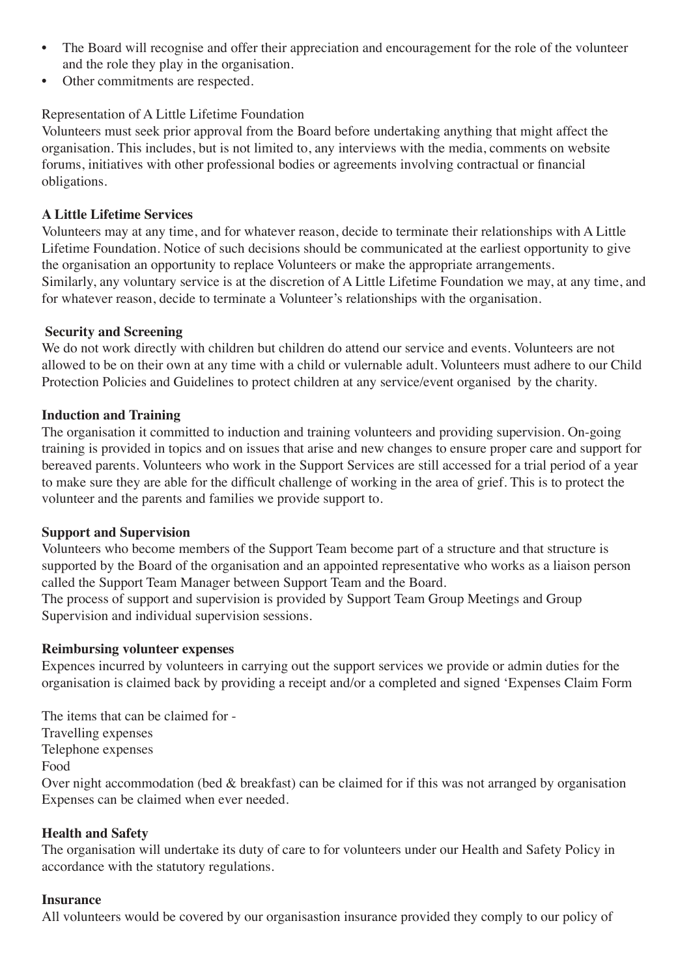- The Board will recognise and offer their appreciation and encouragement for the role of the volunteer and the role they play in the organisation.
- Other commitments are respected.

# Representation of A Little Lifetime Foundation

Volunteers must seek prior approval from the Board before undertaking anything that might affect the organisation. This includes, but is not limited to, any interviews with the media, comments on website forums, initiatives with other professional bodies or agreements involving contractual or financial obligations.

#### **A Little Lifetime Services**

Volunteers may at any time, and for whatever reason, decide to terminate their relationships with A Little Lifetime Foundation. Notice of such decisions should be communicated at the earliest opportunity to give the organisation an opportunity to replace Volunteers or make the appropriate arrangements. Similarly, any voluntary service is at the discretion of A Little Lifetime Foundation we may, at any time, and for whatever reason, decide to terminate a Volunteer's relationships with the organisation.

#### **Security and Screening**

We do not work directly with children but children do attend our service and events. Volunteers are not allowed to be on their own at any time with a child or vulernable adult. Volunteers must adhere to our Child Protection Policies and Guidelines to protect children at any service/event organised by the charity.

#### **Induction and Training**

The organisation it committed to induction and training volunteers and providing supervision. On-going training is provided in topics and on issues that arise and new changes to ensure proper care and support for bereaved parents. Volunteers who work in the Support Services are still accessed for a trial period of a year to make sure they are able for the difficult challenge of working in the area of grief. This is to protect the volunteer and the parents and families we provide support to.

#### **Support and Supervision**

Volunteers who become members of the Support Team become part of a structure and that structure is supported by the Board of the organisation and an appointed representative who works as a liaison person called the Support Team Manager between Support Team and the Board.

The process of support and supervision is provided by Support Team Group Meetings and Group Supervision and individual supervision sessions.

#### **Reimbursing volunteer expenses**

Expences incurred by volunteers in carrying out the support services we provide or admin duties for the organisation is claimed back by providing a receipt and/or a completed and signed 'Expenses Claim Form

The items that can be claimed for - Travelling expenses Telephone expenses Food Over night accommodation (bed & breakfast) can be claimed for if this was not arranged by organisation Expenses can be claimed when ever needed.

#### **Health and Safety**

The organisation will undertake its duty of care to for volunteers under our Health and Safety Policy in accordance with the statutory regulations.

#### **Insurance**

All volunteers would be covered by our organisastion insurance provided they comply to our policy of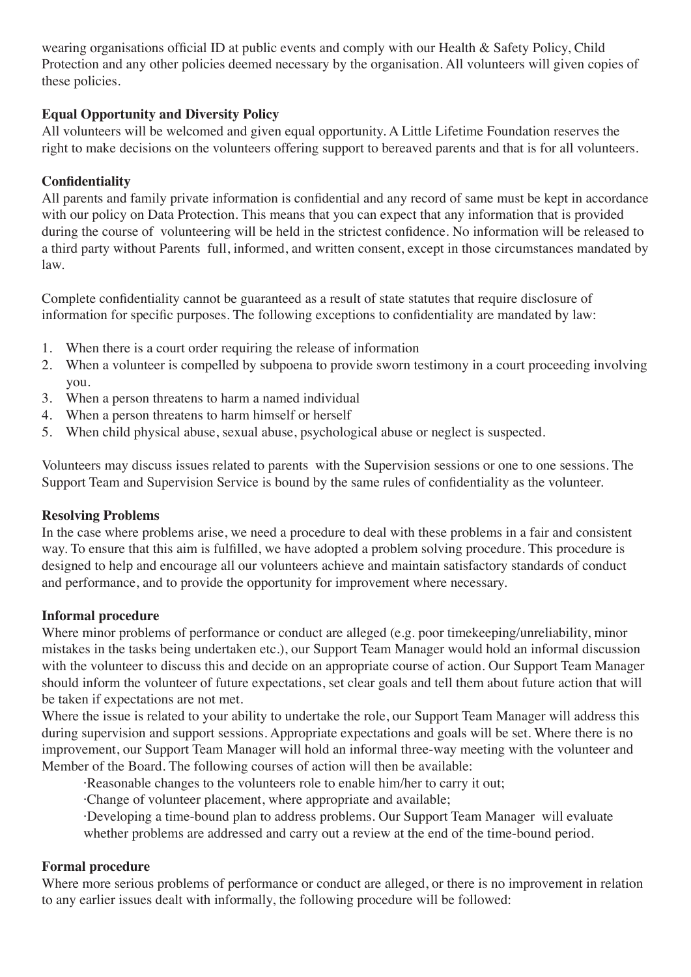wearing organisations official ID at public events and comply with our Health & Safety Policy, Child Protection and any other policies deemed necessary by the organisation. All volunteers will given copies of these policies.

# **Equal Opportunity and Diversity Policy**

All volunteers will be welcomed and given equal opportunity. A Little Lifetime Foundation reserves the right to make decisions on the volunteers offering support to bereaved parents and that is for all volunteers.

# **Confidentiality**

All parents and family private information is confidential and any record of same must be kept in accordance with our policy on Data Protection. This means that you can expect that any information that is provided during the course of volunteering will be held in the strictest confidence. No information will be released to a third party without Parents full, informed, and written consent, except in those circumstances mandated by law.

Complete confidentiality cannot be guaranteed as a result of state statutes that require disclosure of information for specific purposes. The following exceptions to confidentiality are mandated by law:

- 1. When there is a court order requiring the release of information
- 2. When a volunteer is compelled by subpoena to provide sworn testimony in a court proceeding involving you.
- 3. When a person threatens to harm a named individual
- 4. When a person threatens to harm himself or herself
- 5. When child physical abuse, sexual abuse, psychological abuse or neglect is suspected.

Volunteers may discuss issues related to parents with the Supervision sessions or one to one sessions. The Support Team and Supervision Service is bound by the same rules of confidentiality as the volunteer.

#### **Resolving Problems**

In the case where problems arise, we need a procedure to deal with these problems in a fair and consistent way. To ensure that this aim is fulfilled, we have adopted a problem solving procedure. This procedure is designed to help and encourage all our volunteers achieve and maintain satisfactory standards of conduct and performance, and to provide the opportunity for improvement where necessary.

#### **Informal procedure**

Where minor problems of performance or conduct are alleged (e.g. poor timekeeping/unreliability, minor mistakes in the tasks being undertaken etc.), our Support Team Manager would hold an informal discussion with the volunteer to discuss this and decide on an appropriate course of action. Our Support Team Manager should inform the volunteer of future expectations, set clear goals and tell them about future action that will be taken if expectations are not met.

Where the issue is related to your ability to undertake the role, our Support Team Manager will address this during supervision and support sessions. Appropriate expectations and goals will be set. Where there is no improvement, our Support Team Manager will hold an informal three-way meeting with the volunteer and Member of the Board. The following courses of action will then be available:

·Reasonable changes to the volunteers role to enable him/her to carry it out;

·Change of volunteer placement, where appropriate and available;

 ·Developing a time-bound plan to address problems. Our Support Team Manager will evaluate whether problems are addressed and carry out a review at the end of the time-bound period.

#### **Formal procedure**

Where more serious problems of performance or conduct are alleged, or there is no improvement in relation to any earlier issues dealt with informally, the following procedure will be followed: